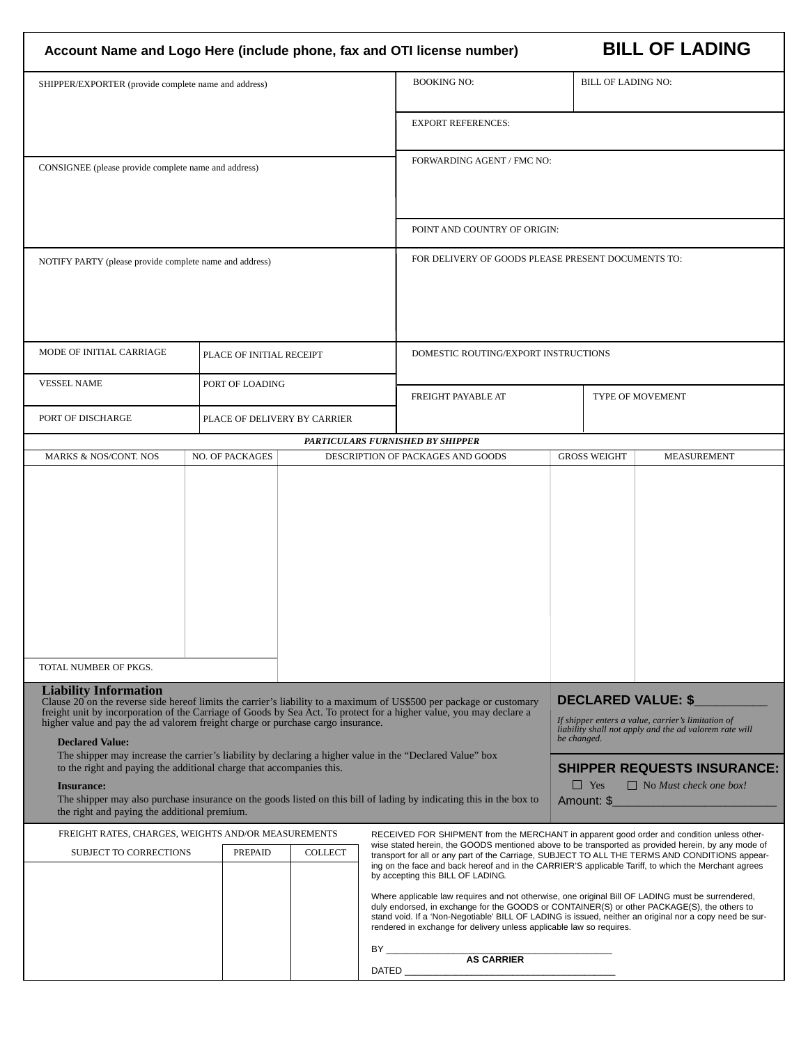| Account Name and Logo Here (include phone, fax and OTI license number)                                                                                                                                                                                                                                                                                                                             |                              |                |                                                                                                                                                                                                                                                                                                                                                                                                                                                                                                                                                      |                                                                                                                                                                                                                                                                                | <b>BILL OF LADING</b> |  |
|----------------------------------------------------------------------------------------------------------------------------------------------------------------------------------------------------------------------------------------------------------------------------------------------------------------------------------------------------------------------------------------------------|------------------------------|----------------|------------------------------------------------------------------------------------------------------------------------------------------------------------------------------------------------------------------------------------------------------------------------------------------------------------------------------------------------------------------------------------------------------------------------------------------------------------------------------------------------------------------------------------------------------|--------------------------------------------------------------------------------------------------------------------------------------------------------------------------------------------------------------------------------------------------------------------------------|-----------------------|--|
| SHIPPER/EXPORTER (provide complete name and address)                                                                                                                                                                                                                                                                                                                                               |                              |                | <b>BOOKING NO:</b>                                                                                                                                                                                                                                                                                                                                                                                                                                                                                                                                   | <b>BILL OF LADING NO:</b>                                                                                                                                                                                                                                                      |                       |  |
|                                                                                                                                                                                                                                                                                                                                                                                                    |                              |                | <b>EXPORT REFERENCES:</b>                                                                                                                                                                                                                                                                                                                                                                                                                                                                                                                            |                                                                                                                                                                                                                                                                                |                       |  |
| CONSIGNEE (please provide complete name and address)                                                                                                                                                                                                                                                                                                                                               |                              |                | FORWARDING AGENT / FMC NO:                                                                                                                                                                                                                                                                                                                                                                                                                                                                                                                           |                                                                                                                                                                                                                                                                                |                       |  |
|                                                                                                                                                                                                                                                                                                                                                                                                    |                              |                | POINT AND COUNTRY OF ORIGIN:                                                                                                                                                                                                                                                                                                                                                                                                                                                                                                                         |                                                                                                                                                                                                                                                                                |                       |  |
| NOTIFY PARTY (please provide complete name and address)                                                                                                                                                                                                                                                                                                                                            |                              |                | FOR DELIVERY OF GOODS PLEASE PRESENT DOCUMENTS TO:                                                                                                                                                                                                                                                                                                                                                                                                                                                                                                   |                                                                                                                                                                                                                                                                                |                       |  |
| MODE OF INITIAL CARRIAGE                                                                                                                                                                                                                                                                                                                                                                           | PLACE OF INITIAL RECEIPT     |                | DOMESTIC ROUTING/EXPORT INSTRUCTIONS                                                                                                                                                                                                                                                                                                                                                                                                                                                                                                                 |                                                                                                                                                                                                                                                                                |                       |  |
| <b>VESSEL NAME</b>                                                                                                                                                                                                                                                                                                                                                                                 | PORT OF LOADING              |                | FREIGHT PAYABLE AT                                                                                                                                                                                                                                                                                                                                                                                                                                                                                                                                   |                                                                                                                                                                                                                                                                                | TYPE OF MOVEMENT      |  |
| PORT OF DISCHARGE                                                                                                                                                                                                                                                                                                                                                                                  | PLACE OF DELIVERY BY CARRIER |                |                                                                                                                                                                                                                                                                                                                                                                                                                                                                                                                                                      |                                                                                                                                                                                                                                                                                |                       |  |
| PARTICULARS FURNISHED BY SHIPPER<br><b>NO. OF PACKAGES</b><br>MARKS & NOS/CONT. NOS<br>DESCRIPTION OF PACKAGES AND GOODS                                                                                                                                                                                                                                                                           |                              |                |                                                                                                                                                                                                                                                                                                                                                                                                                                                                                                                                                      | <b>GROSS WEIGHT</b>                                                                                                                                                                                                                                                            | <b>MEASUREMENT</b>    |  |
| TOTAL NUMBER OF PKGS.                                                                                                                                                                                                                                                                                                                                                                              |                              |                |                                                                                                                                                                                                                                                                                                                                                                                                                                                                                                                                                      |                                                                                                                                                                                                                                                                                |                       |  |
| <b>Liability Information</b><br>higher value and pay the ad valorem freight charge or purchase cargo insurance.<br><b>Declared Value:</b><br>The shipper may increase the carrier's liability by declaring a higher value in the "Declared Value" box<br>to the right and paying the additional charge that accompanies this.<br><b>Insurance:</b><br>the right and paying the additional premium. |                              |                | Clause $20$ on the reverse side hereof limits the carrier's liability to a maximum of US\$500 per package or customary<br>freight unit by incorporation of the Carriage of Goods by Sea Act. To protect for a higher value, you may declare a<br>The shipper may also purchase insurance on the goods listed on this bill of lading by indicating this in the box to                                                                                                                                                                                 | <b>DECLARED VALUE: \$</b><br>If shipper enters a value, carrier's limitation of<br>liability shall not apply and the ad valorem rate will<br>be changed.<br><b>SHIPPER REQUESTS INSURANCE:</b><br>$\Box$ No Must check one box!<br>$\blacksquare$ Yes<br>Amount: \$            |                       |  |
| FREIGHT RATES, CHARGES, WEIGHTS AND/OR MEASUREMENTS<br>SUBJECT TO CORRECTIONS<br><b>PREPAID</b>                                                                                                                                                                                                                                                                                                    |                              | <b>COLLECT</b> | RECEIVED FOR SHIPMENT from the MERCHANT in apparent good order and condition unless other-<br>wise stated herein, the GOODS mentioned above to be transported as provided herein, by any mode of<br>transport for all or any part of the Carriage, SUBJECT TO ALL THE TERMS AND CONDITIONS appear-<br>ing on the face and back hereof and in the CARRIER'S applicable Tariff, to which the Merchant agrees<br>by accepting this BILL OF LADING.<br>Where applicable law requires and not otherwise, one original Bill OF LADING must be surrendered, |                                                                                                                                                                                                                                                                                |                       |  |
|                                                                                                                                                                                                                                                                                                                                                                                                    |                              |                |                                                                                                                                                                                                                                                                                                                                                                                                                                                                                                                                                      | duly endorsed, in exchange for the GOODS or CONTAINER(S) or other PACKAGE(S), the others to<br>stand void. If a 'Non-Negotiable' BILL OF LADING is issued, neither an original nor a copy need be sur-<br>rendered in exchange for delivery unless applicable law so requires. |                       |  |